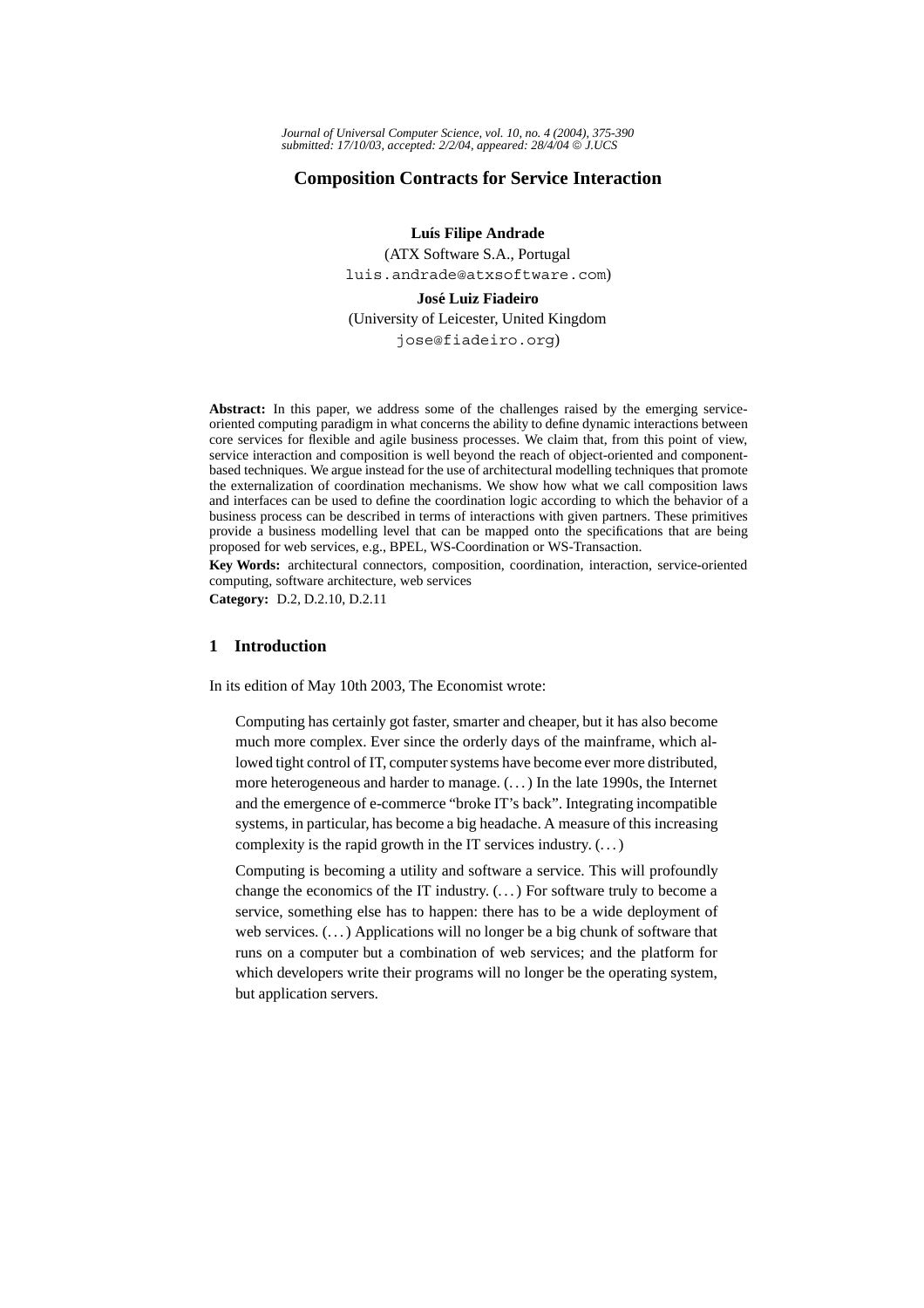# **Composition Contracts for Service Interaction**

**Luís Filipe Andrade** 

(ATX Software S.A., Portugal luis.andrade@atxsoftware.com)

**Jose Luiz Fiadeiro ´** (University of Leicester, United Kingdom jose@fiadeiro.org)

**Abstract:** In this paper, we address some of the challenges raised by the emerging serviceoriented computing paradigm in what concerns the ability to define dynamic interactions between core services for flexible and agile business processes. We claim that, from this point of view, service interaction and composition is well beyond the reach of object-oriented and componentbased techniques. We argue instead for the use of architectural modelling techniques that promote the externalization of coordination mechanisms. We show how what we call composition laws and interfaces can be used to define the coordination logic according to which the behavior of a business process can be described in terms of interactions with given partners. These primitives provide a business modelling level that can be mapped onto the specifications that are being proposed for web services, e.g., BPEL, WS-Coordination or WS-Transaction.

**Key Words:** architectural connectors, composition, coordination, interaction, service-oriented computing, software architecture, web services

**Category:** D.2, D.2.10, D.2.11

# **1 Introduction**

In its edition of May 10th 2003, The Economist wrote:

Computing has certainly got faster, smarter and cheaper, but it has also become much more complex. Ever since the orderly days of the mainframe, which allowed tight control of IT, computer systems have become ever more distributed, more heterogeneous and harder to manage. (. . . ) In the late 1990s, the Internet and the emergence of e-commerce "broke IT's back". Integrating incompatible systems, in particular, has become a big headache. A measure of this increasing complexity is the rapid growth in the IT services industry.  $(\dots)$ 

Computing is becoming a utility and software a service. This will profoundly change the economics of the IT industry. (. . . ) For software truly to become a service, something else has to happen: there has to be a wide deployment of web services. (...) Applications will no longer be a big chunk of software that runs on a computer but a combination of web services; and the platform for which developers write their programs will no longer be the operating system, but application servers.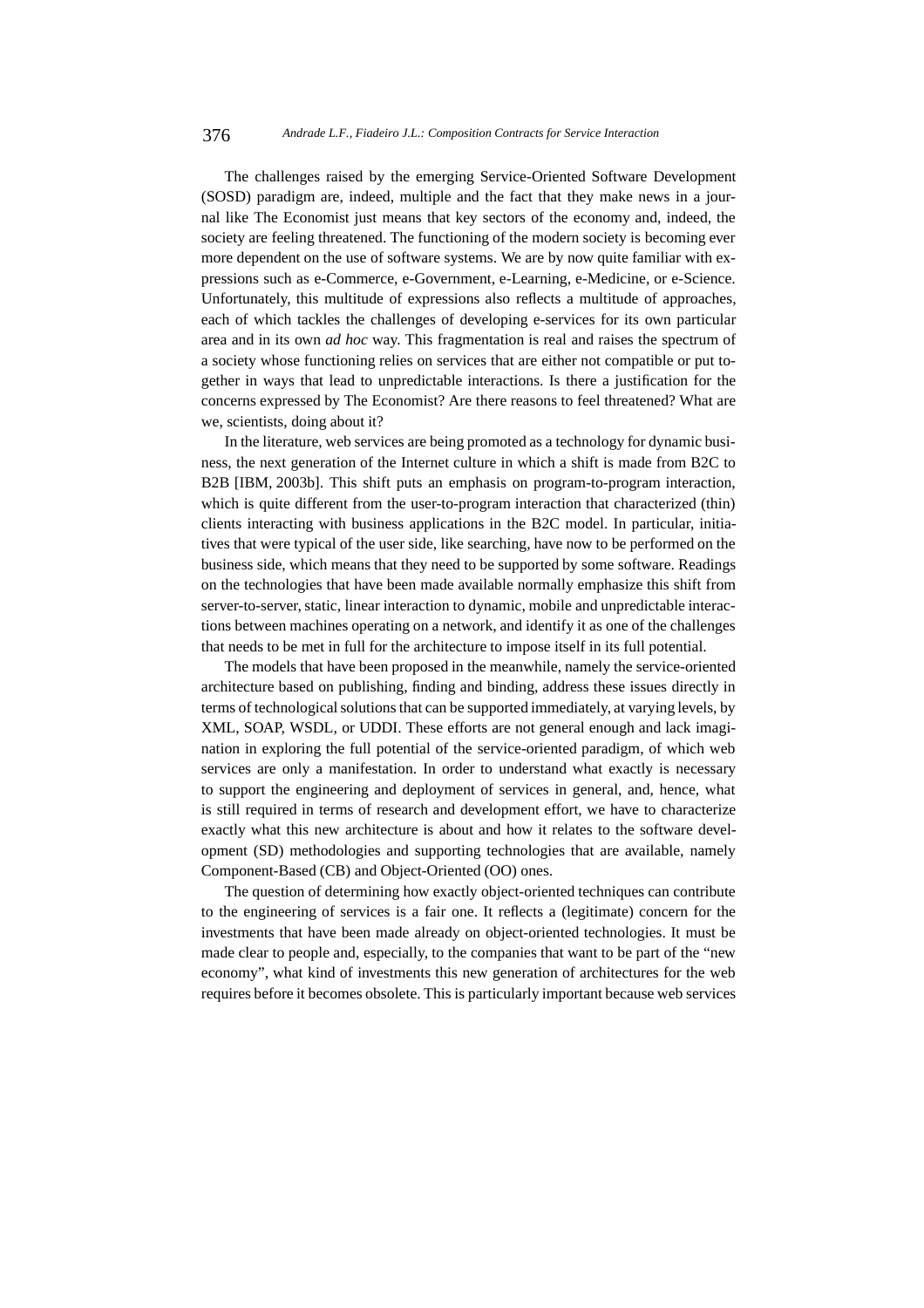The challenges raised by the emerging Service-Oriented Software Development (SOSD) paradigm are, indeed, multiple and the fact that they make news in a journal like The Economist just means that key sectors of the economy and, indeed, the society are feeling threatened. The functioning of the modern society is becoming ever more dependent on the use of software systems. We are by now quite familiar with expressions such as e-Commerce, e-Government, e-Learning, e-Medicine, or e-Science. Unfortunately, this multitude of expressions also reflects a multitude of approaches, each of which tackles the challenges of developing e-services for its own particular area and in its own *ad hoc* way. This fragmentation is real and raises the spectrum of a society whose functioning relies on services that are either not compatible or put together in ways that lead to unpredictable interactions. Is there a justification for the concerns expressed by The Economist? Are there reasons to feel threatened? What are we, scientists, doing about it?

In the literature, web services are being promoted as a technology for dynamic business, the next generation of the Internet culture in which a shift is made from B2C to B2B [IBM, 2003b]. This shift puts an emphasis on program-to-program interaction, which is quite different from the user-to-program interaction that characterized (thin) clients interacting with business applications in the B2C model. In particular, initiatives that were typical of the user side, like searching, have now to be performed on the business side, which means that they need to be supported by some software. Readings on the technologies that have been made available normally emphasize this shift from server-to-server, static, linear interaction to dynamic, mobile and unpredictable interactions between machines operating on a network, and identify it as one of the challenges that needs to be met in full for the architecture to impose itself in its full potential.

The models that have been proposed in the meanwhile, namely the service-oriented architecture based on publishing, finding and binding, address these issues directly in terms of technological solutions that can be supported immediately, at varying levels, by XML, SOAP, WSDL, or UDDI. These efforts are not general enough and lack imagination in exploring the full potential of the service-oriented paradigm, of which web services are only a manifestation. In order to understand what exactly is necessary to support the engineering and deployment of services in general, and, hence, what is still required in terms of research and development effort, we have to characterize exactly what this new architecture is about and how it relates to the software development (SD) methodologies and supporting technologies that are available, namely Component-Based (CB) and Object-Oriented (OO) ones.

The question of determining how exactly object-oriented techniques can contribute to the engineering of services is a fair one. It reflects a (legitimate) concern for the investments that have been made already on object-oriented technologies. It must be made clear to people and, especially, to the companies that want to be part of the "new economy", what kind of investments this new generation of architectures for the web requires before it becomes obsolete. This is particularly important because web services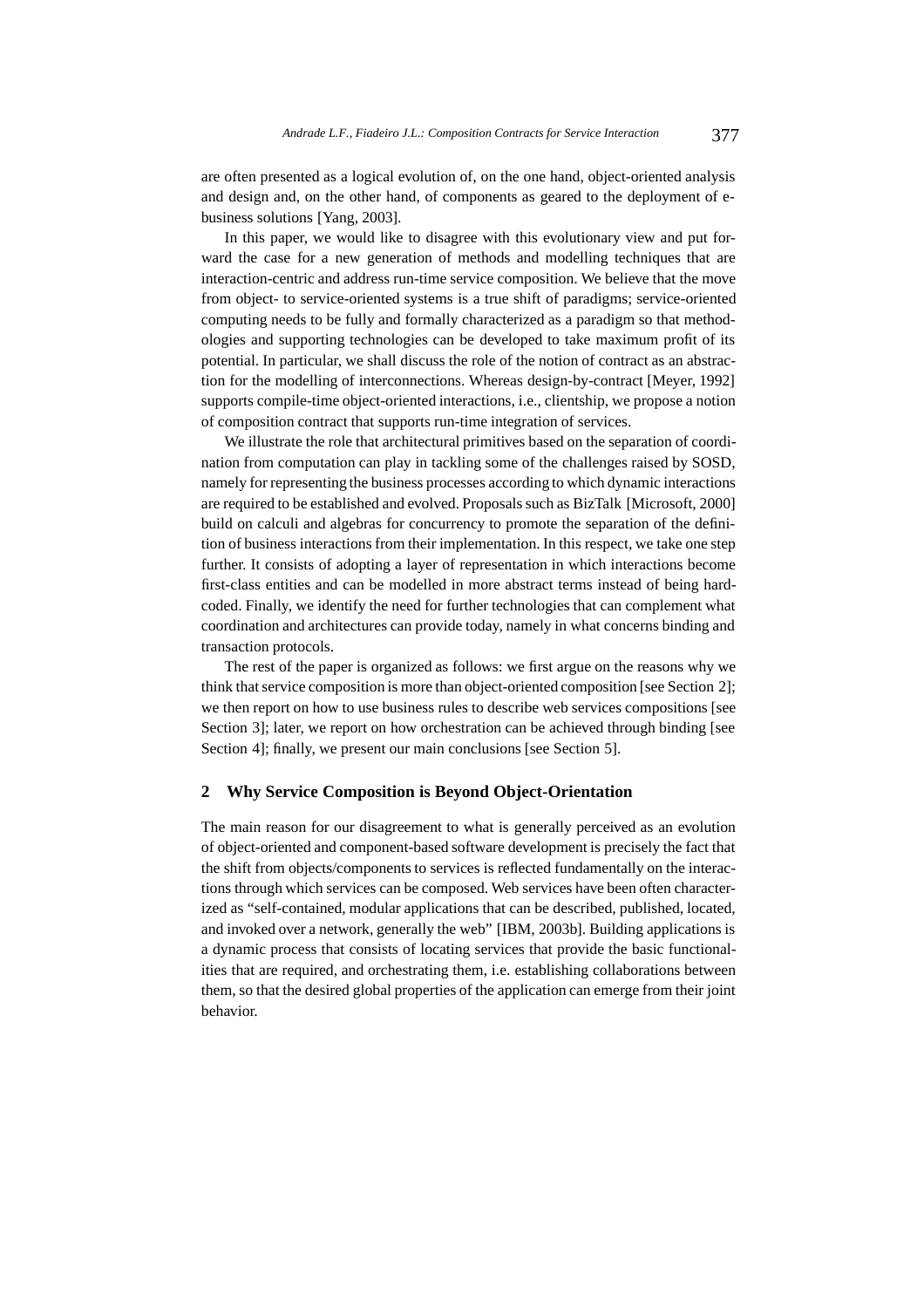are often presented as a logical evolution of, on the one hand, object-oriented analysis and design and, on the other hand, of components as geared to the deployment of ebusiness solutions [Yang, 2003].

In this paper, we would like to disagree with this evolutionary view and put forward the case for a new generation of methods and modelling techniques that are interaction-centric and address run-time service composition. We believe that the move from object- to service-oriented systems is a true shift of paradigms; service-oriented computing needs to be fully and formally characterized as a paradigm so that methodologies and supporting technologies can be developed to take maximum profit of its potential. In particular, we shall discuss the role of the notion of contract as an abstraction for the modelling of interconnections. Whereas design-by-contract [Meyer, 1992] supports compile-time object-oriented interactions, i.e., clientship, we propose a notion of composition contract that supports run-time integration of services.

We illustrate the role that architectural primitives based on the separation of coordination from computation can play in tackling some of the challenges raised by SOSD, namely for representing the business processes according to which dynamic interactions are required to be established and evolved. Proposals such as BizTalk [Microsoft, 2000] build on calculi and algebras for concurrency to promote the separation of the definition of business interactions from their implementation. In this respect, we take one step further. It consists of adopting a layer of representation in which interactions become first-class entities and can be modelled in more abstract terms instead of being hardcoded. Finally, we identify the need for further technologies that can complement what coordination and architectures can provide today, namely in what concerns binding and transaction protocols.

The rest of the paper is organized as follows: we first argue on the reasons why we think that service composition is more than object-oriented composition [see Section 2]; we then report on how to use business rules to describe web services compositions [see Section 31; later, we report on how orchestration can be achieved through binding [see Section 4]; finally, we present our main conclusions [see Section 5].

### **2 Why Service Composition is Beyond Object-Orientation**

The main reason for our disagreement to what is generally perceived as an evolution of object-oriented and component-based software development is precisely the fact that the shift from objects/components to services is reflected fundamentally on the interactions through which services can be composed. Web services have been often characterized as "self-contained, modular applications that can be described, published, located, and invoked over a network, generally the web" [IBM, 2003b]. Building applications is a dynamic process that consists of locating services that provide the basic functionalities that are required, and orchestrating them, i.e. establishing collaborations between them, so that the desired global properties of the application can emerge from their joint behavior.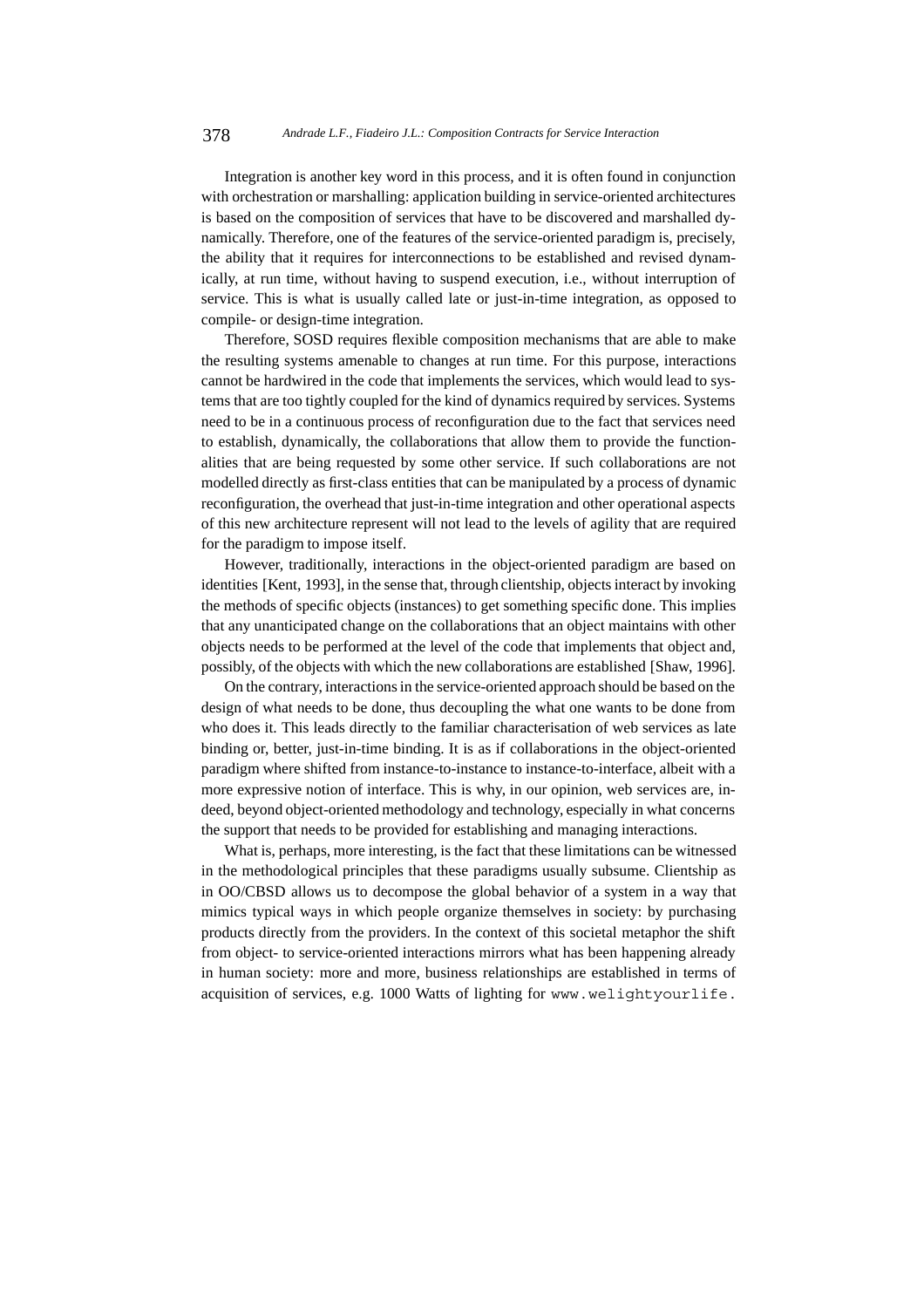Integration is another key word in this process, and it is often found in conjunction with orchestration or marshalling: application building in service-oriented architectures is based on the composition of services that have to be discovered and marshalled dynamically. Therefore, one of the features of the service-oriented paradigm is, precisely, the ability that it requires for interconnections to be established and revised dynamically, at run time, without having to suspend execution, i.e., without interruption of service. This is what is usually called late or just-in-time integration, as opposed to compile- or design-time integration.

Therefore, SOSD requires flexible composition mechanisms that are able to make the resulting systems amenable to changes at run time. For this purpose, interactions cannot be hardwired in the code that implements the services, which would lead to systems that are too tightly coupled for the kind of dynamics required by services. Systems need to be in a continuous process of reconfiguration due to the fact that services need to establish, dynamically, the collaborations that allow them to provide the functionalities that are being requested by some other service. If such collaborations are not modelled directly as first-class entities that can be manipulated by a process of dynamic reconfiguration, the overhead that just-in-time integration and other operational aspects of this new architecture represent will not lead to the levels of agility that are required for the paradigm to impose itself.

However, traditionally, interactions in the object-oriented paradigm are based on identities [Kent, 1993], in the sense that, through clientship, objects interact by invoking the methods of specific objects (instances) to get something specific done. This implies that any unanticipated change on the collaborations that an object maintains with other objects needs to be performed at the level of the code that implements that object and, possibly, of the objects with which the new collaborations are established [Shaw, 1996].

On the contrary, interactions in the service-oriented approach should be based on the design of what needs to be done, thus decoupling the what one wants to be done from who does it. This leads directly to the familiar characterisation of web services as late binding or, better, just-in-time binding. It is as if collaborations in the object-oriented paradigm where shifted from instance-to-instance to instance-to-interface, albeit with a more expressive notion of interface. This is why, in our opinion, web services are, indeed, beyond object-oriented methodology and technology, especially in what concerns the support that needs to be provided for establishing and managing interactions.

What is, perhaps, more interesting, is the fact that these limitations can be witnessed in the methodological principles that these paradigms usually subsume. Clientship as in OO/CBSD allows us to decompose the global behavior of a system in a way that mimics typical ways in which people organize themselves in society: by purchasing products directly from the providers. In the context of this societal metaphor the shift from object- to service-oriented interactions mirrors what has been happening already in human society: more and more, business relationships are established in terms of acquisition of services, e.g. 1000 Watts of lighting for www.welightyourlife.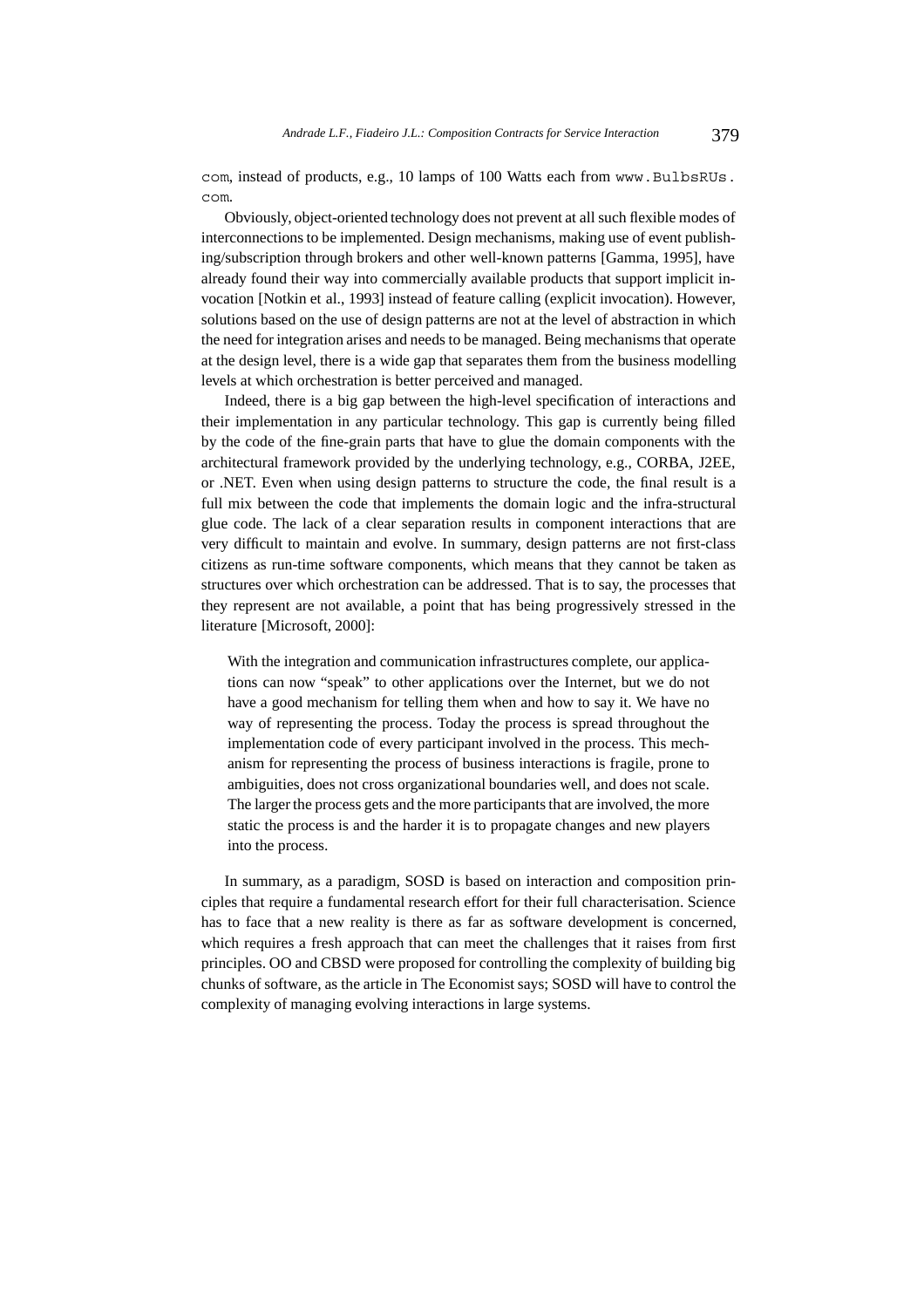com, instead of products, e.g., 10 lamps of 100 Watts each from www.BulbsRUs. com.

Obviously, object-oriented technology does not prevent at all such flexible modes of interconnections to be implemented. Design mechanisms, making use of event publishing/subscription through brokers and other well-known patterns [Gamma, 1995], have already found their way into commercially available products that support implicit invocation [Notkin et al., 1993] instead of feature calling (explicit invocation). However, solutions based on the use of design patterns are not at the level of abstraction in which the need for integration arises and needs to be managed. Being mechanisms that operate at the design level, there is a wide gap that separates them from the business modelling levels at which orchestration is better perceived and managed.

Indeed, there is a big gap between the high-level specification of interactions and their implementation in any particular technology. This gap is currently being filled by the code of the fine-grain parts that have to glue the domain components with the architectural framework provided by the underlying technology, e.g., CORBA, J2EE, or .NET. Even when using design patterns to structure the code, the final result is a full mix between the code that implements the domain logic and the infra-structural glue code. The lack of a clear separation results in component interactions that are very difficult to maintain and evolve. In summary, design patterns are not first-class citizens as run-time software components, which means that they cannot be taken as structures over which orchestration can be addressed. That is to say, the processes that they represent are not available, a point that has being progressively stressed in the literature [Microsoft, 2000]:

With the integration and communication infrastructures complete, our applications can now "speak" to other applications over the Internet, but we do not have a good mechanism for telling them when and how to say it. We have no way of representing the process. Today the process is spread throughout the implementation code of every participant involved in the process. This mechanism for representing the process of business interactions is fragile, prone to ambiguities, does not cross organizational boundaries well, and does not scale. The larger the process gets and the more participants that are involved, the more static the process is and the harder it is to propagate changes and new players into the process.

In summary, as a paradigm, SOSD is based on interaction and composition principles that require a fundamental research effort for their full characterisation. Science has to face that a new reality is there as far as software development is concerned, which requires a fresh approach that can meet the challenges that it raises from first principles. OO and CBSD were proposed for controlling the complexity of building big chunks of software, as the article in The Economist says; SOSD will have to control the complexity of managing evolving interactions in large systems.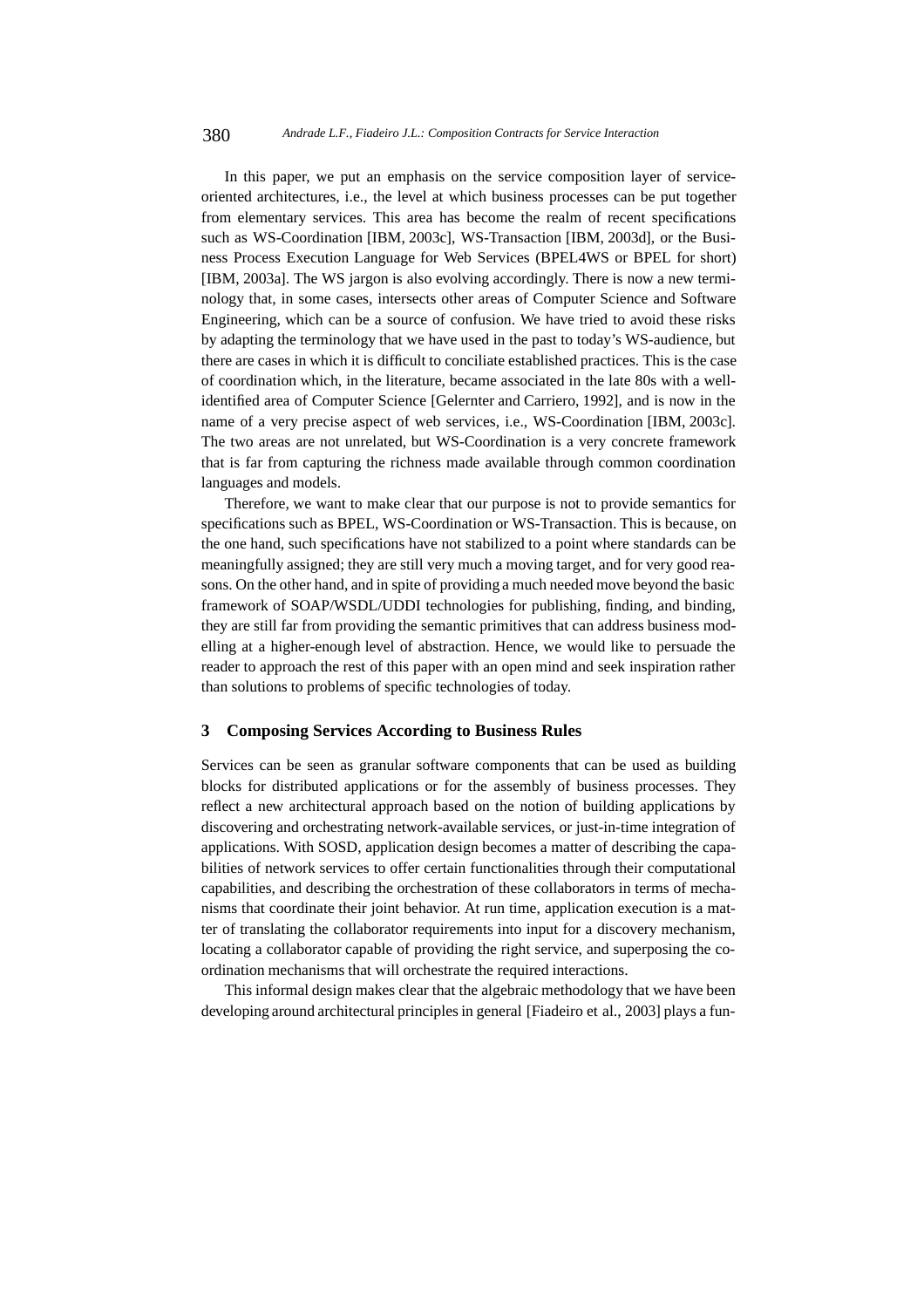In this paper, we put an emphasis on the service composition layer of serviceoriented architectures, i.e., the level at which business processes can be put together from elementary services. This area has become the realm of recent specifications such as WS-Coordination [IBM, 2003c], WS-Transaction [IBM, 2003d], or the Business Process Execution Language for Web Services (BPEL4WS or BPEL for short) [IBM, 2003a]. The WS jargon is also evolving accordingly. There is now a new terminology that, in some cases, intersects other areas of Computer Science and Software Engineering, which can be a source of confusion. We have tried to avoid these risks by adapting the terminology that we have used in the past to today's WS-audience, but there are cases in which it is difficult to conciliate established practices. This is the case of coordination which, in the literature, became associated in the late 80s with a wellidentified area of Computer Science [Gelernter and Carriero, 1992], and is now in the name of a very precise aspect of web services, i.e., WS-Coordination [IBM, 2003c]. The two areas are not unrelated, but WS-Coordination is a very concrete framework that is far from capturing the richness made available through common coordination languages and models.

Therefore, we want to make clear that our purpose is not to provide semantics for specifications such as BPEL, WS-Coordination or WS-Transaction. This is because, on the one hand, such specifications have not stabilized to a point where standards can be meaningfully assigned; they are still very much a moving target, and for very good reasons. On the other hand, and in spite of providing a much needed move beyond the basic framework of SOAP/WSDL/UDDI technologies for publishing, finding, and binding, they are still far from providing the semantic primitives that can address business modelling at a higher-enough level of abstraction. Hence, we would like to persuade the reader to approach the rest of this paper with an open mind and seek inspiration rather than solutions to problems of specific technologies of today.

#### **3 Composing Services According to Business Rules**

Services can be seen as granular software components that can be used as building blocks for distributed applications or for the assembly of business processes. They reflect a new architectural approach based on the notion of building applications by discovering and orchestrating network-available services, or just-in-time integration of applications. With SOSD, application design becomes a matter of describing the capabilities of network services to offer certain functionalities through their computational capabilities, and describing the orchestration of these collaborators in terms of mechanisms that coordinate their joint behavior. At run time, application execution is a matter of translating the collaborator requirements into input for a discovery mechanism, locating a collaborator capable of providing the right service, and superposing the coordination mechanisms that will orchestrate the required interactions.

This informal design makes clear that the algebraic methodology that we have been developing around architectural principles in general [Fiadeiro et al., 2003] plays a fun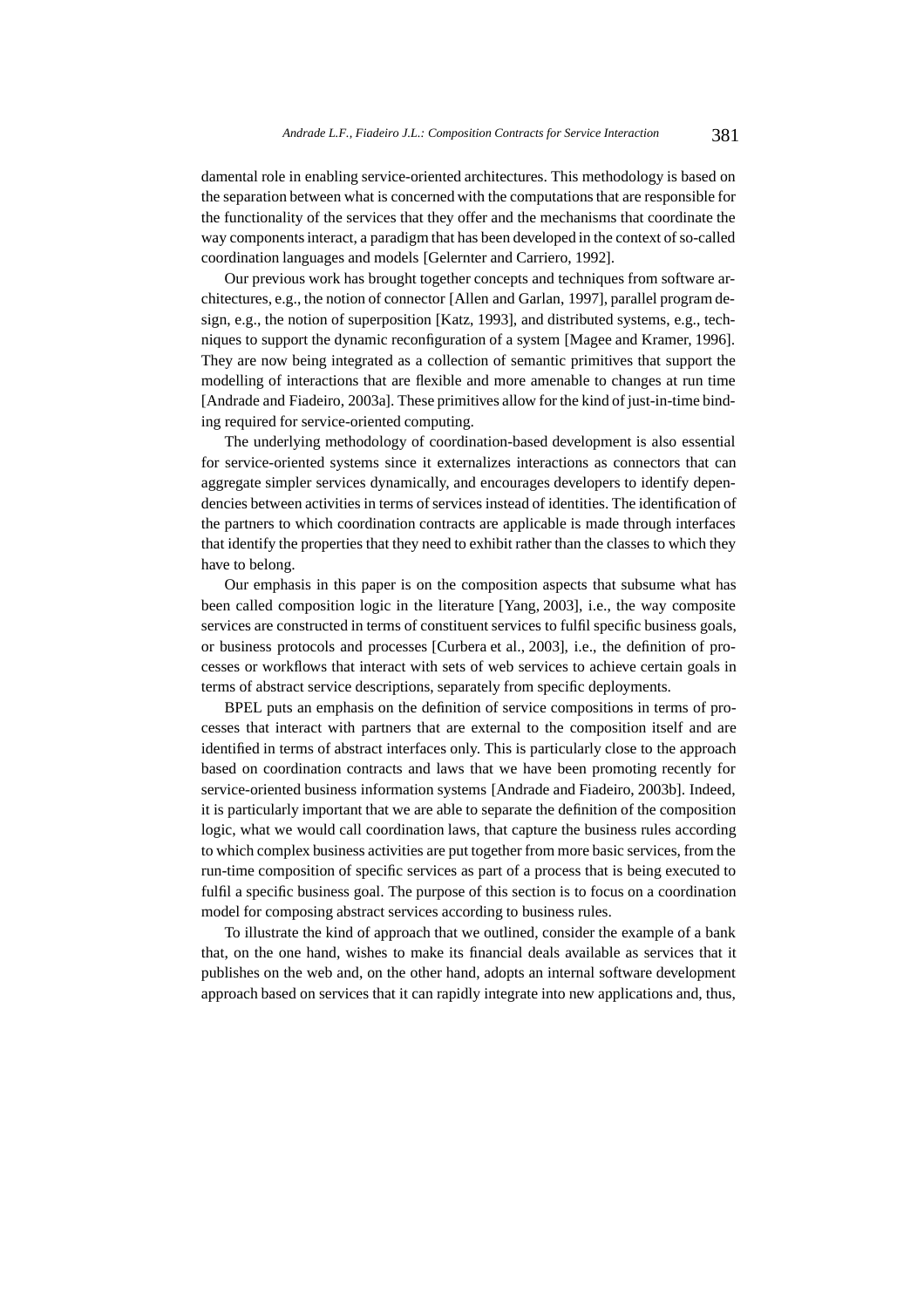damental role in enabling service-oriented architectures. This methodology is based on the separation between what is concerned with the computations that are responsible for the functionality of the services that they offer and the mechanisms that coordinate the way components interact, a paradigm that has been developed in the context of so-called coordination languages and models [Gelernter and Carriero, 1992].

Our previous work has brought together concepts and techniques from software architectures, e.g., the notion of connector [Allen and Garlan, 1997], parallel program design, e.g., the notion of superposition [Katz, 1993], and distributed systems, e.g., techniques to support the dynamic reconfiguration of a system [Magee and Kramer, 1996]. They are now being integrated as a collection of semantic primitives that support the modelling of interactions that are flexible and more amenable to changes at run time [Andrade and Fiadeiro, 2003a]. These primitives allow for the kind of just-in-time binding required for service-oriented computing.

The underlying methodology of coordination-based development is also essential for service-oriented systems since it externalizes interactions as connectors that can aggregate simpler services dynamically, and encourages developers to identify dependencies between activities in terms of services instead of identities. The identification of the partners to which coordination contracts are applicable is made through interfaces that identify the properties that they need to exhibit rather than the classes to which they have to belong.

Our emphasis in this paper is on the composition aspects that subsume what has been called composition logic in the literature [Yang, 2003], i.e., the way composite services are constructed in terms of constituent services to fulfil specific business goals, or business protocols and processes [Curbera et al., 2003], i.e., the definition of processes or workflows that interact with sets of web services to achieve certain goals in terms of abstract service descriptions, separately from specific deployments.

BPEL puts an emphasis on the definition of service compositions in terms of processes that interact with partners that are external to the composition itself and are identified in terms of abstract interfaces only. This is particularly close to the approach based on coordination contracts and laws that we have been promoting recently for service-oriented business information systems [Andrade and Fiadeiro, 2003b]. Indeed, it is particularly important that we are able to separate the definition of the composition logic, what we would call coordination laws, that capture the business rules according to which complex business activities are put together from more basic services, from the run-time composition of specific services as part of a process that is being executed to fulfil a specific business goal. The purpose of this section is to focus on a coordination model for composing abstract services according to business rules.

To illustrate the kind of approach that we outlined, consider the example of a bank that, on the one hand, wishes to make its financial deals available as services that it publishes on the web and, on the other hand, adopts an internal software development approach based on services that it can rapidly integrate into new applications and, thus,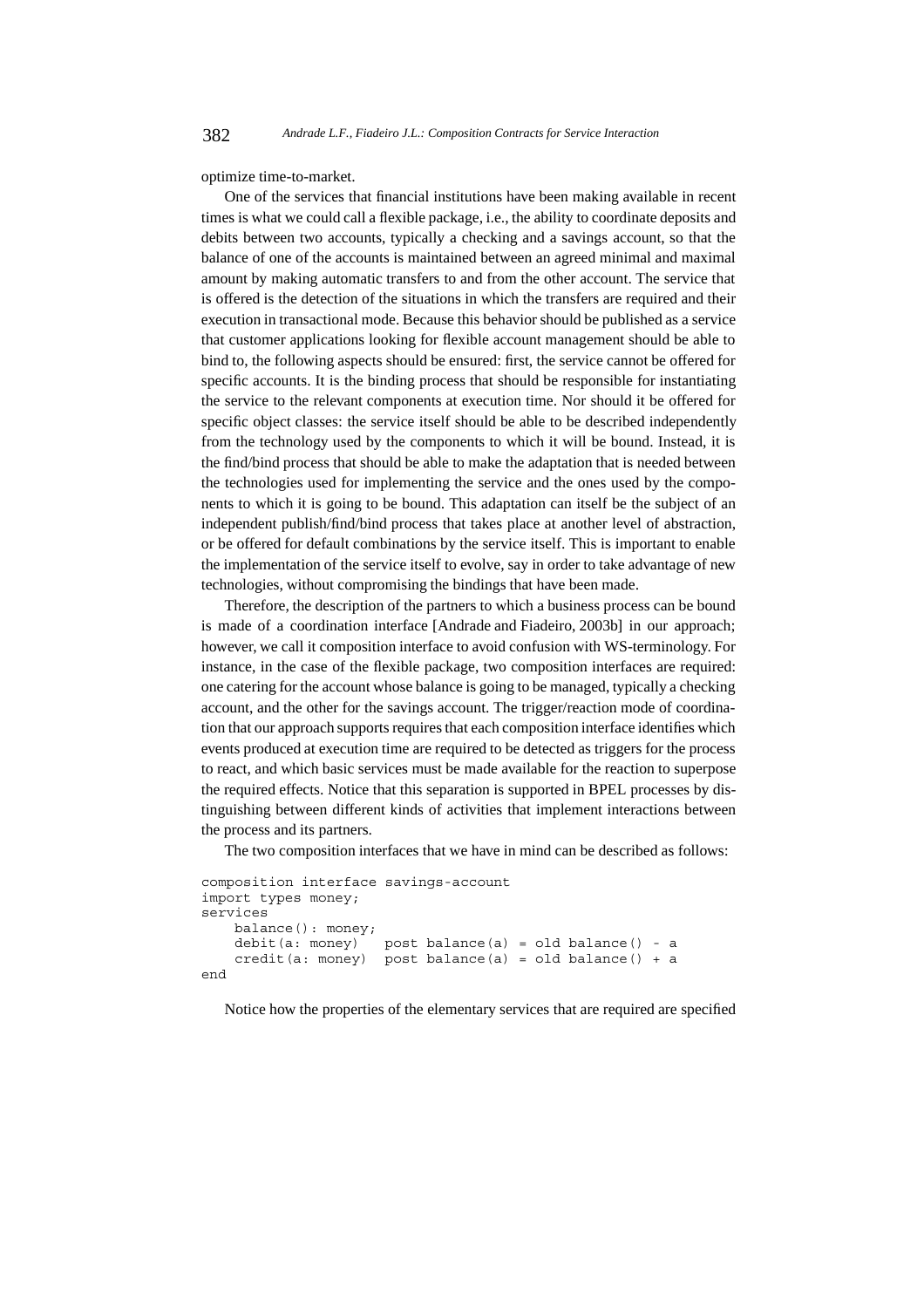optimize time-to-market.

One of the services that financial institutions have been making available in recent times is what we could call a flexible package, i.e., the ability to coordinate deposits and debits between two accounts, typically a checking and a savings account, so that the balance of one of the accounts is maintained between an agreed minimal and maximal amount by making automatic transfers to and from the other account. The service that is offered is the detection of the situations in which the transfers are required and their execution in transactional mode. Because this behavior should be published as a service that customer applications looking for flexible account management should be able to bind to, the following aspects should be ensured: first, the service cannot be offered for specific accounts. It is the binding process that should be responsible for instantiating the service to the relevant components at execution time. Nor should it be offered for specific object classes: the service itself should be able to be described independently from the technology used by the components to which it will be bound. Instead, it is the find/bind process that should be able to make the adaptation that is needed between the technologies used for implementing the service and the ones used by the components to which it is going to be bound. This adaptation can itself be the subject of an independent publish/find/bind process that takes place at another level of abstraction, or be offered for default combinations by the service itself. This is important to enable the implementation of the service itself to evolve, say in order to take advantage of new technologies, without compromising the bindings that have been made.

Therefore, the description of the partners to which a business process can be bound is made of a coordination interface [Andrade and Fiadeiro, 2003b] in our approach; however, we call it composition interface to avoid confusion with WS-terminology. For instance, in the case of the flexible package, two composition interfaces are required: one catering for the account whose balance is going to be managed, typically a checking account, and the other for the savings account. The trigger/reaction mode of coordination that our approach supports requires that each composition interface identifies which events produced at execution time are required to be detected as triggers for the process to react, and which basic services must be made available for the reaction to superpose the required effects. Notice that this separation is supported in BPEL processes by distinguishing between different kinds of activities that implement interactions between the process and its partners.

The two composition interfaces that we have in mind can be described as follows:

```
composition interface savings-account
import types money;
services
   balance(): money;
    debit(a: money) post balance(a) = old balance() - a
    credit(a: money) post balance(a) = old balance() + a
end
```
Notice how the properties of the elementary services that are required are specified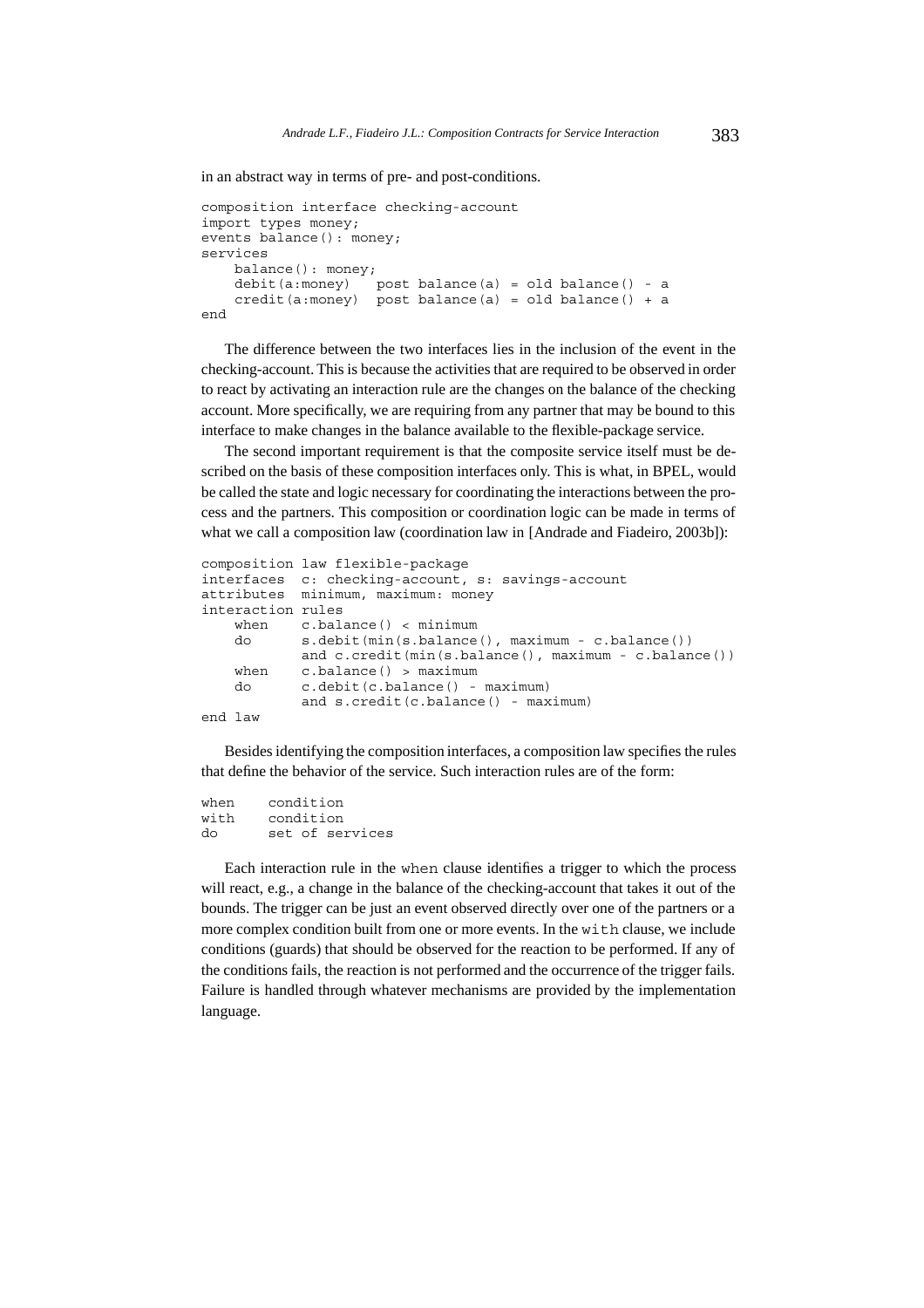in an abstract way in terms of pre- and post-conditions.

```
composition interface checking-account
import types money;
events balance(): money;
services
   balance(): money;
   debit(a:money) post balance(a) = old balance() - a
    credit(a:money) post balance(a) = old balance() + a
end
```
The difference between the two interfaces lies in the inclusion of the event in the checking-account. This is because the activities that are required to be observed in order to react by activating an interaction rule are the changes on the balance of the checking account. More specifically, we are requiring from any partner that may be bound to this interface to make changes in the balance available to the flexible-package service.

The second important requirement is that the composite service itself must be described on the basis of these composition interfaces only. This is what, in BPEL, would be called the state and logic necessary for coordinating the interactions between the process and the partners. This composition or coordination logic can be made in terms of what we call a composition law (coordination law in [Andrade and Fiadeiro, 2003b]):

```
composition law flexible-package
interfaces c: checking-account, s: savings-account
attributes minimum, maximum: money
interaction rules
   when c.balance() < minimum
   do s.debit(min(s.balance(), maximum - c.balance())
           and c.credit(min(s.balance(), maximum - c.balance())
   when c.balance() > maximum
   do c.debit(c.balance() - maximum)
           and s.credit(c.balance() - maximum)
end law
```
Besides identifying the composition interfaces, a composition law specifies the rules that define the behavior of the service. Such interaction rules are of the form:

```
when condition
with condition
do set of services
```
Each interaction rule in the when clause identifies a trigger to which the process will react, e.g., a change in the balance of the checking-account that takes it out of the bounds. The trigger can be just an event observed directly over one of the partners or a more complex condition built from one or more events. In the with clause, we include conditions (guards) that should be observed for the reaction to be performed. If any of the conditions fails, the reaction is not performed and the occurrence of the trigger fails. Failure is handled through whatever mechanisms are provided by the implementation language.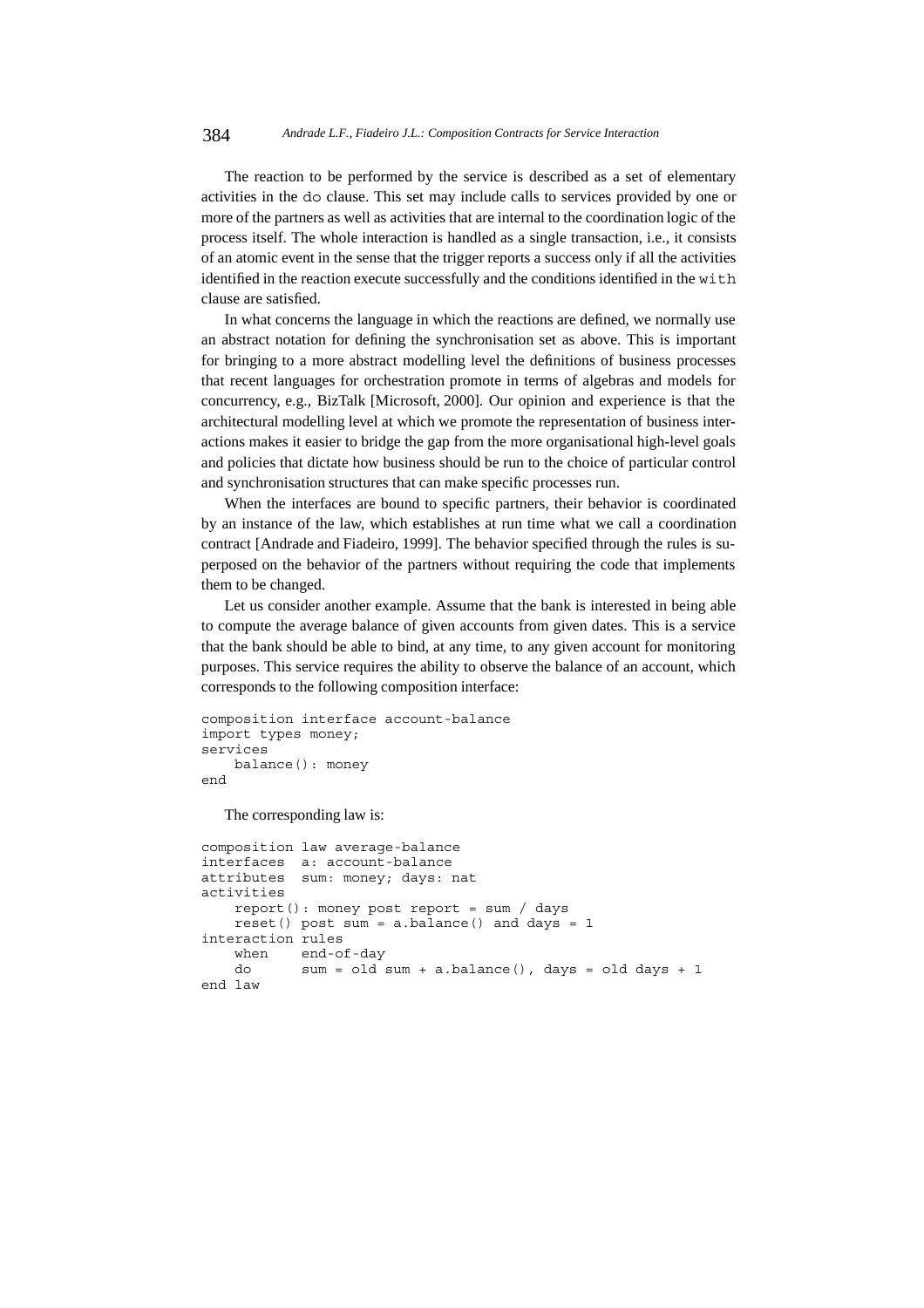The reaction to be performed by the service is described as a set of elementary activities in the do clause. This set may include calls to services provided by one or more of the partners as well as activities that are internal to the coordination logic of the process itself. The whole interaction is handled as a single transaction, i.e., it consists of an atomic event in the sense that the trigger reports a success only if all the activities identified in the reaction execute successfully and the conditions identified in the with clause are satisfied.

In what concerns the language in which the reactions are defined, we normally use an abstract notation for defining the synchronisation set as above. This is important for bringing to a more abstract modelling level the definitions of business processes that recent languages for orchestration promote in terms of algebras and models for concurrency, e.g., BizTalk [Microsoft, 2000]. Our opinion and experience is that the architectural modelling level at which we promote the representation of business interactions makes it easier to bridge the gap from the more organisational high-level goals and policies that dictate how business should be run to the choice of particular control and synchronisation structures that can make specific processes run.

When the interfaces are bound to specific partners, their behavior is coordinated by an instance of the law, which establishes at run time what we call a coordination contract [Andrade and Fiadeiro, 1999]. The behavior specified through the rules is superposed on the behavior of the partners without requiring the code that implements them to be changed.

Let us consider another example. Assume that the bank is interested in being able to compute the average balance of given accounts from given dates. This is a service that the bank should be able to bind, at any time, to any given account for monitoring purposes. This service requires the ability to observe the balance of an account, which corresponds to the following composition interface:

```
composition interface account-balance
import types money;
services
    balance(): money
end
```
The corresponding law is:

```
composition law average-balance
interfaces a: account-balance
attributes sum: money; days: nat
activities
   report(): money post report = sum / days
   reset() post sum = a.balance() and days = 1
interaction rules
   when end-of-day
   do sum = old sum + a.balance(), days = old days + 1
end law
```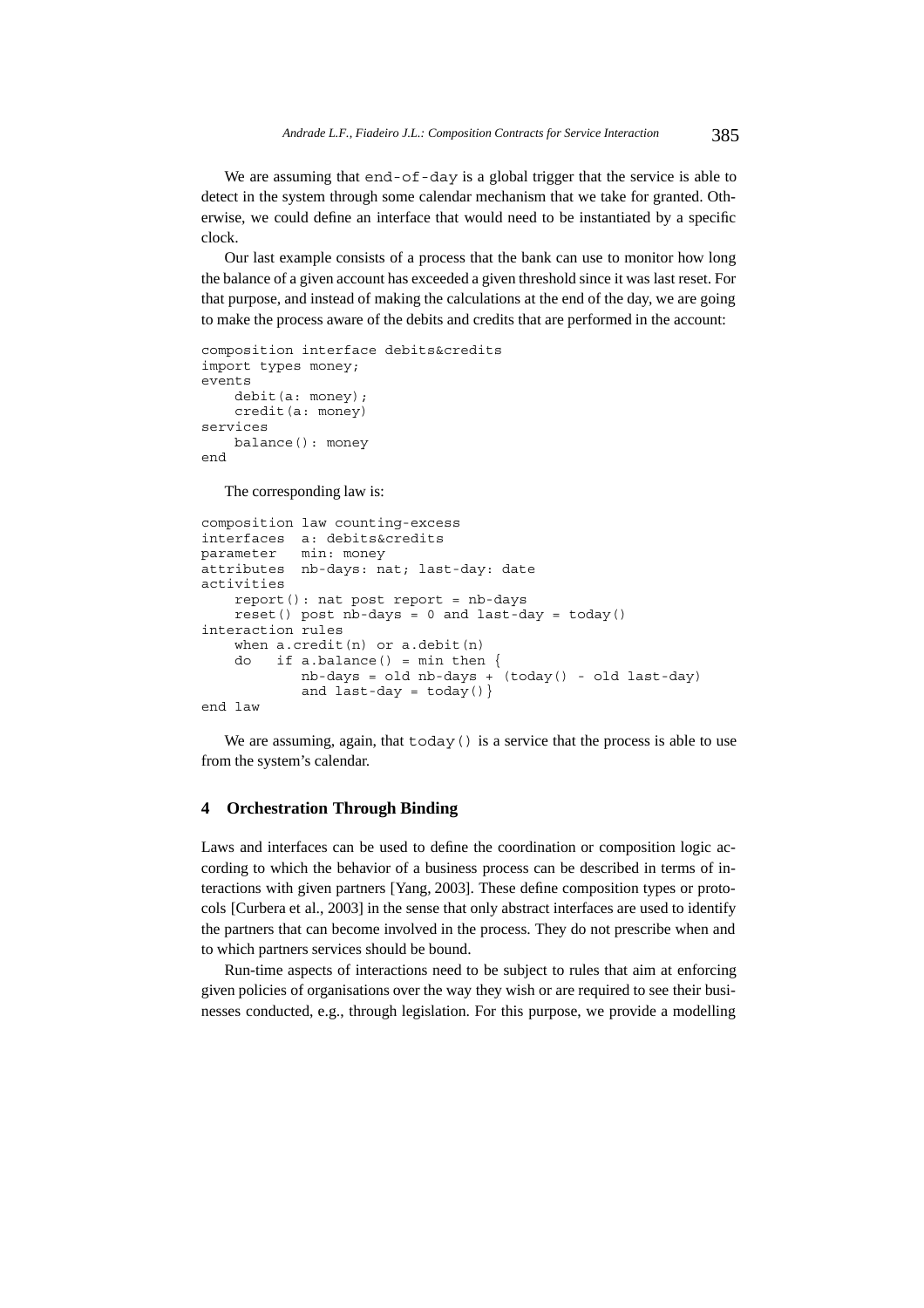We are assuming that end-of-day is a global trigger that the service is able to detect in the system through some calendar mechanism that we take for granted. Otherwise, we could define an interface that would need to be instantiated by a specific clock.

Our last example consists of a process that the bank can use to monitor how long the balance of a given account has exceeded a given threshold since it was last reset. For that purpose, and instead of making the calculations at the end of the day, we are going to make the process aware of the debits and credits that are performed in the account:

```
composition interface debits&credits
import types money;
events
    debit(a: money);
    credit(a: money)
services
    balance(): money
end
```
The corresponding law is:

```
composition law counting-excess
interfaces a: debits&credits
parameter min: money
attributes nb-days: nat; last-day: date
activities
    report(): nat post report = nb-days
    reset() post nb-days = 0 and last-day = today()
interaction rules
    when a. \text{credit}(n) or a. \text{debit}(n)do if a.balance() = min then \{nb-days = old nb-days + (today() - old last-day)and last-day = today()end law
```
We are assuming, again, that  $\text{today}(t)$  is a service that the process is able to use from the system's calendar.

### **4 Orchestration Through Binding**

Laws and interfaces can be used to define the coordination or composition logic according to which the behavior of a business process can be described in terms of interactions with given partners [Yang, 2003]. These define composition types or protocols [Curbera et al., 2003] in the sense that only abstract interfaces are used to identify the partners that can become involved in the process. They do not prescribe when and to which partners services should be bound.

Run-time aspects of interactions need to be subject to rules that aim at enforcing given policies of organisations over the way they wish or are required to see their businesses conducted, e.g., through legislation. For this purpose, we provide a modelling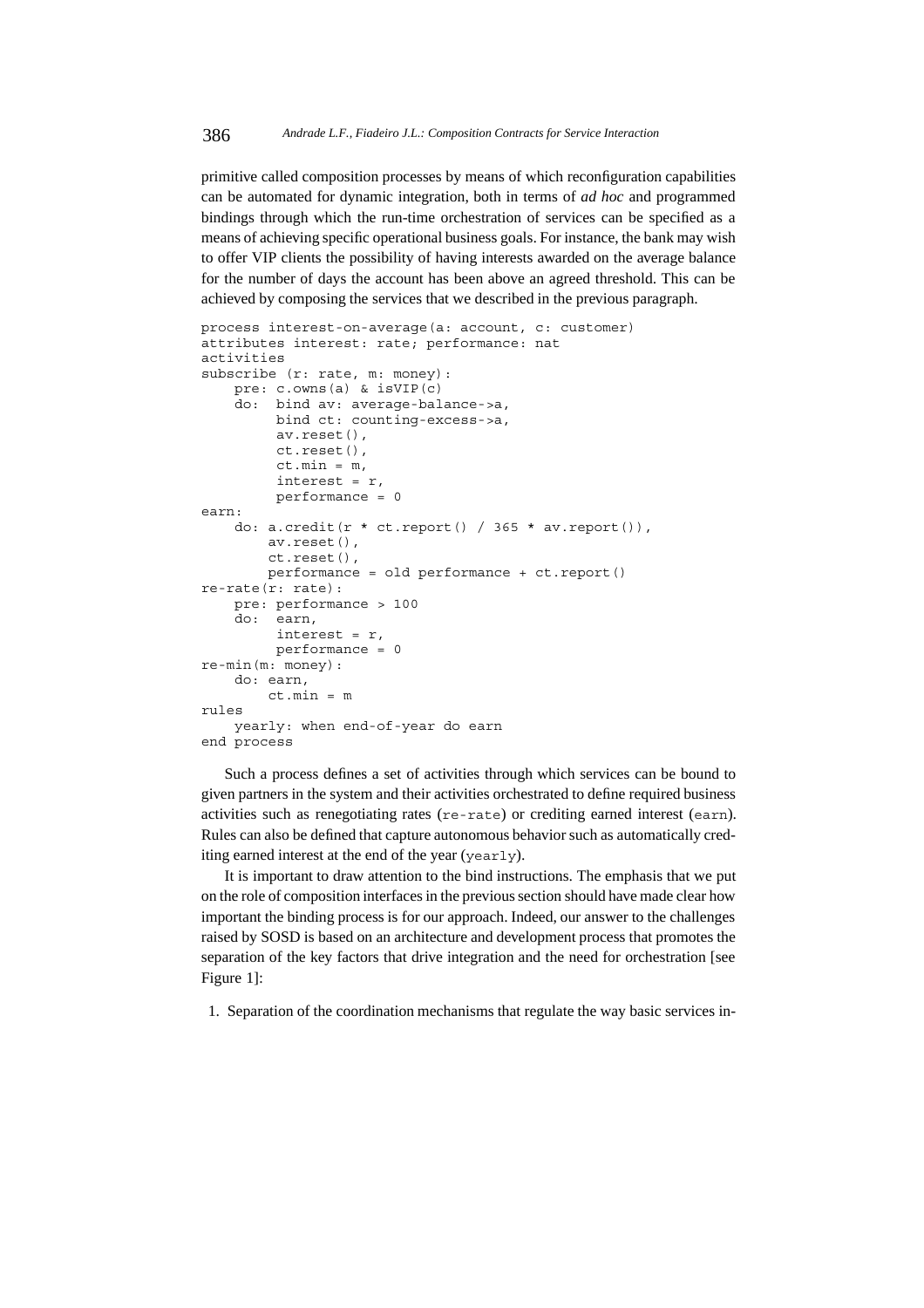primitive called composition processes by means of which reconfiguration capabilities can be automated for dynamic integration, both in terms of *ad hoc* and programmed bindings through which the run-time orchestration of services can be specified as a means of achieving specific operational business goals. For instance, the bank may wish to offer VIP clients the possibility of having interests awarded on the average balance for the number of days the account has been above an agreed threshold. This can be achieved by composing the services that we described in the previous paragraph.

```
process interest-on-average(a: account, c: customer)
attributes interest: rate; performance: nat
activities
subscribe (r: rate, m: money):
    pre: c.owns(a) & isVIP(c)
    do: bind av: average-balance->a,
        bind ct: counting-excess->a,
         av.reset(),
        ct.reset(),
         ct.min = m,
         interest = r,
         performance = 0
earn:
    do: a.credit(r * ct. report() / 365 * av. report()),
        av.reset(),
        ct.reset(),
        performance = old performance + ct.report()
re-rate(r: rate):
    pre: performance > 100
    do: earn,
        interest = r,
        performance = 0
re-min(m: money):
    do: earn,
        ct.min = m
rules
    yearly: when end-of-year do earn
end process
```

```
Such a process defines a set of activities through which services can be bound to
given partners in the system and their activities orchestrated to define required business
activities such as renegotiating rates (re-rate) or crediting earned interest (earn).
Rules can also be defined that capture autonomous behavior such as automatically cred-
iting earned interest at the end of the year (yearly).
```
It is important to draw attention to the bind instructions. The emphasis that we put on the role of composition interfaces in the previous section should have made clear how important the binding process is for our approach. Indeed, our answer to the challenges raised by SOSD is based on an architecture and development process that promotes the separation of the key factors that drive integration and the need for orchestration [see Figure 1]:

1. Separation of the coordination mechanisms that regulate the way basic services in-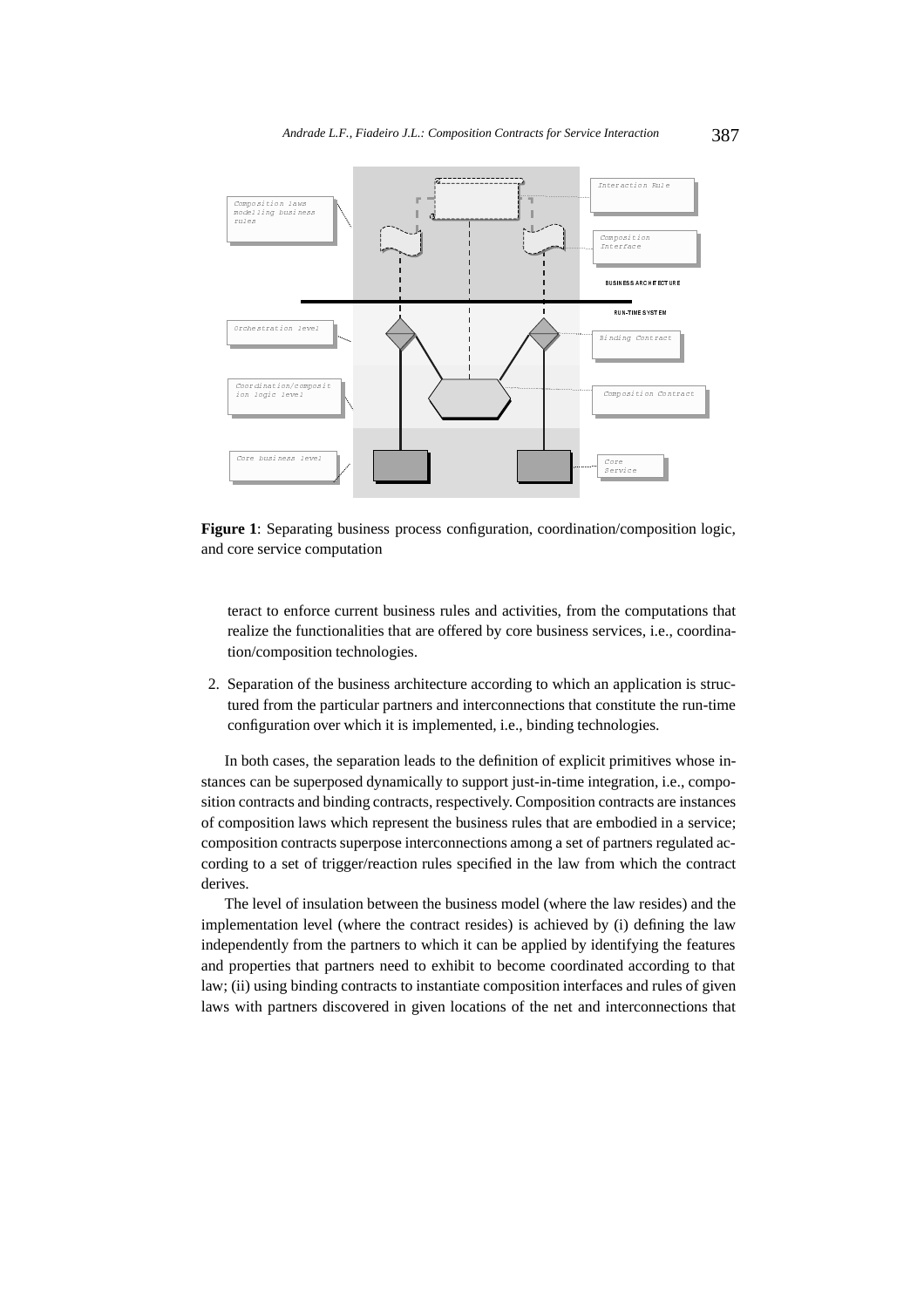

**Figure 1**: Separating business process configuration, coordination/composition logic, and core service computation

teract to enforce current business rules and activities, from the computations that realize the functionalities that are offered by core business services, i.e., coordination/composition technologies.

2. Separation of the business architecture according to which an application is structured from the particular partners and interconnections that constitute the run-time configuration over which it is implemented, i.e., binding technologies.

In both cases, the separation leads to the definition of explicit primitives whose instances can be superposed dynamically to support just-in-time integration, i.e., composition contracts and binding contracts, respectively. Composition contracts are instances of composition laws which represent the business rules that are embodied in a service; composition contracts superpose interconnections among a set of partners regulated according to a set of trigger/reaction rules specified in the law from which the contract derives.

The level of insulation between the business model (where the law resides) and the implementation level (where the contract resides) is achieved by (i) defining the law independently from the partners to which it can be applied by identifying the features and properties that partners need to exhibit to become coordinated according to that law; (ii) using binding contracts to instantiate composition interfaces and rules of given laws with partners discovered in given locations of the net and interconnections that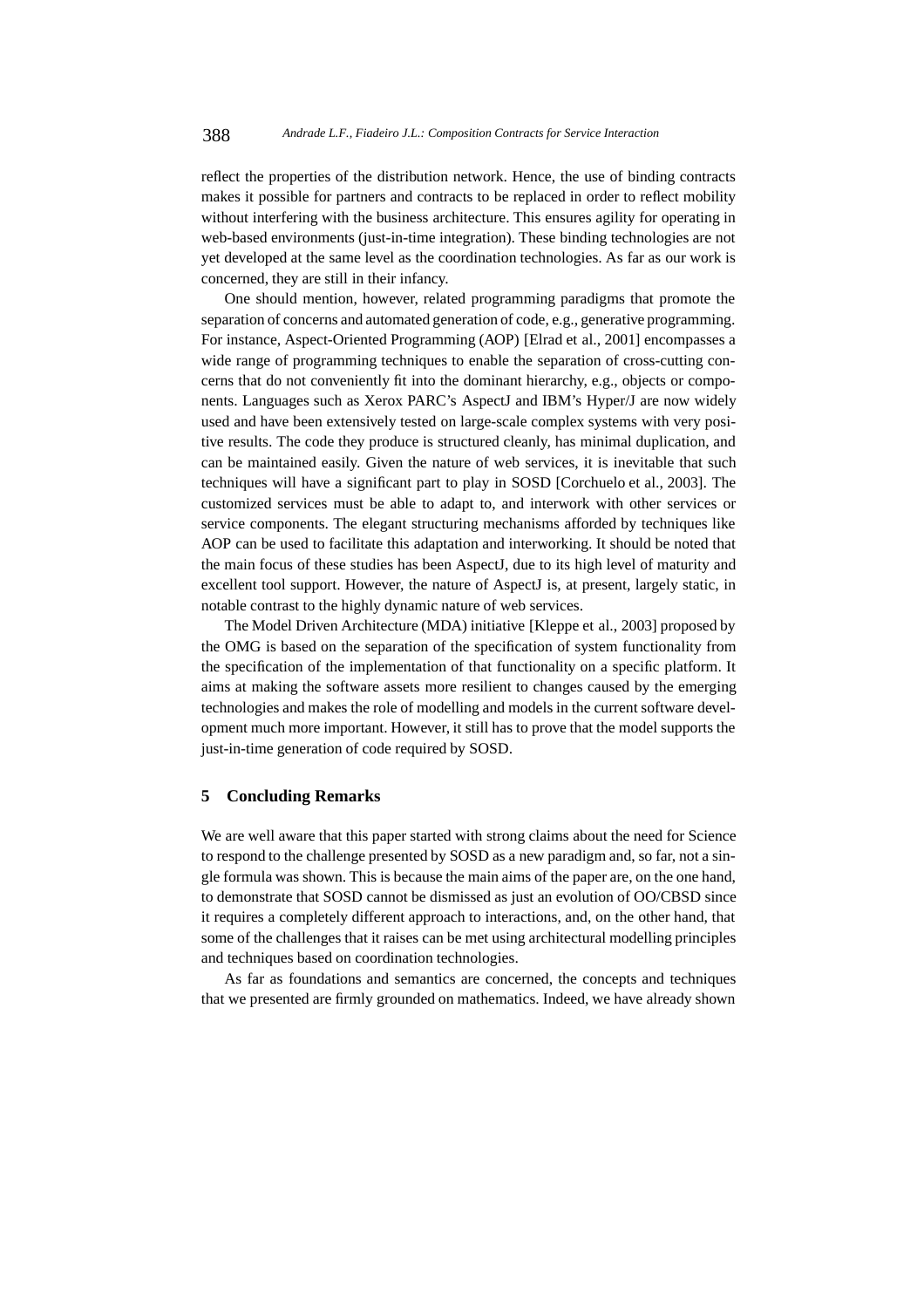reflect the properties of the distribution network. Hence, the use of binding contracts makes it possible for partners and contracts to be replaced in order to reflect mobility without interfering with the business architecture. This ensures agility for operating in web-based environments (just-in-time integration). These binding technologies are not yet developed at the same level as the coordination technologies. As far as our work is concerned, they are still in their infancy.

One should mention, however, related programming paradigms that promote the separation of concerns and automated generation of code, e.g., generative programming. For instance, Aspect-Oriented Programming (AOP) [Elrad et al., 2001] encompasses a wide range of programming techniques to enable the separation of cross-cutting concerns that do not conveniently fit into the dominant hierarchy, e.g., objects or components. Languages such as Xerox PARC's AspectJ and IBM's Hyper/J are now widely used and have been extensively tested on large-scale complex systems with very positive results. The code they produce is structured cleanly, has minimal duplication, and can be maintained easily. Given the nature of web services, it is inevitable that such techniques will have a significant part to play in SOSD [Corchuelo et al., 2003]. The customized services must be able to adapt to, and interwork with other services or service components. The elegant structuring mechanisms afforded by techniques like AOP can be used to facilitate this adaptation and interworking. It should be noted that the main focus of these studies has been AspectJ, due to its high level of maturity and excellent tool support. However, the nature of AspectJ is, at present, largely static, in notable contrast to the highly dynamic nature of web services.

The Model Driven Architecture (MDA) initiative [Kleppe et al., 2003] proposed by the OMG is based on the separation of the specification of system functionality from the specification of the implementation of that functionality on a specific platform. It aims at making the software assets more resilient to changes caused by the emerging technologies and makes the role of modelling and models in the current software development much more important. However, it still has to prove that the model supports the just-in-time generation of code required by SOSD.

### **5 Concluding Remarks**

We are well aware that this paper started with strong claims about the need for Science to respond to the challenge presented by SOSD as a new paradigm and, so far, not a single formula was shown. This is because the main aims of the paper are, on the one hand, to demonstrate that SOSD cannot be dismissed as just an evolution of OO/CBSD since it requires a completely different approach to interactions, and, on the other hand, that some of the challenges that it raises can be met using architectural modelling principles and techniques based on coordination technologies.

As far as foundations and semantics are concerned, the concepts and techniques that we presented are firmly grounded on mathematics. Indeed, we have already shown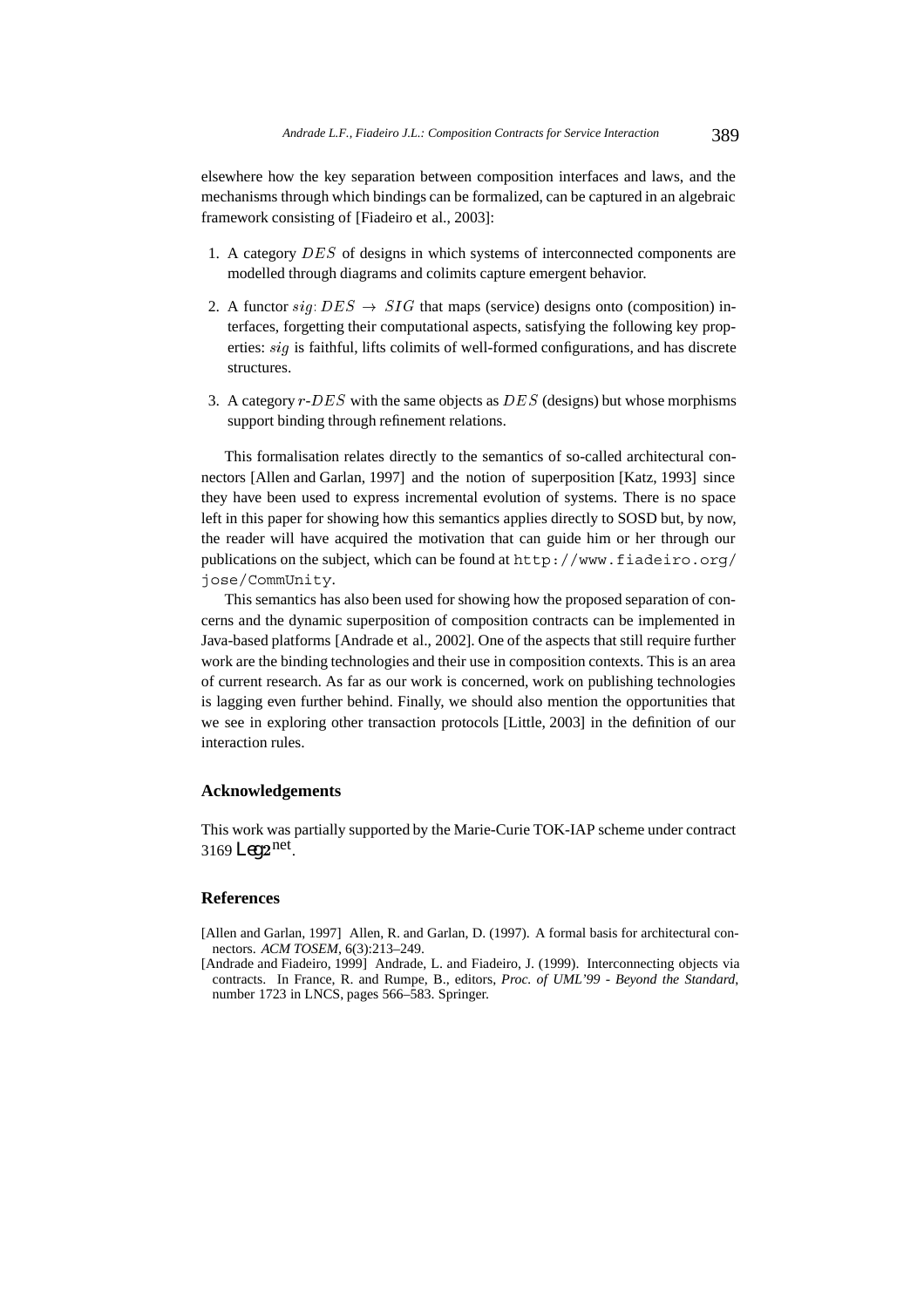elsewhere how the key separation between composition interfaces and laws, and the mechanisms through which bindings can be formalized, can be captured in an algebraic framework consisting of [Fiadeiro et al., 2003]:

- 1. A category DES of designs in which systems of interconnected components are modelled through diagrams and colimits capture emergent behavior.
- 2. A functor  $sig: DES \rightarrow SIG$  that maps (service) designs onto (composition) interfaces, forgetting their computational aspects, satisfying the following key properties: sig is faithful, lifts colimits of well-formed configurations, and has discrete structures.
- 3. A category  $r$ - $DES$  with the same objects as  $DES$  (designs) but whose morphisms support binding through refinement relations.

This formalisation relates directly to the semantics of so-called architectural connectors [Allen and Garlan, 1997] and the notion of superposition [Katz, 1993] since they have been used to express incremental evolution of systems. There is no space left in this paper for showing how this semantics applies directly to SOSD but, by now, the reader will have acquired the motivation that can guide him or her through our publications on the subject, which can be found at http://www.fiadeiro.org/ jose/CommUnity.

This semantics has also been used for showing how the proposed separation of concerns and the dynamic superposition of composition contracts can be implemented in Java-based platforms [Andrade et al., 2002]. One of the aspects that still require further work are the binding technologies and their use in composition contexts. This is an area of current research. As far as our work is concerned, work on publishing technologies is lagging even further behind. Finally, we should also mention the opportunities that we see in exploring other transaction protocols [Little, 2003] in the definition of our interaction rules.

# **Acknowledgements**

This work was partially supported by the Marie-Curie TOK-IAP scheme under contract  $3169$  *Leg*  $2<sup>net</sup>$ .

### **References**

- [Allen and Garlan, 1997] Allen, R. and Garlan, D. (1997). A formal basis for architectural connectors. *ACM TOSEM*, 6(3):213–249.
- [Andrade and Fiadeiro, 1999] Andrade, L. and Fiadeiro, J. (1999). Interconnecting objects via contracts. In France, R. and Rumpe, B., editors, *Proc. of UML'99 - Beyond the Standard*, number 1723 in LNCS, pages 566–583. Springer.